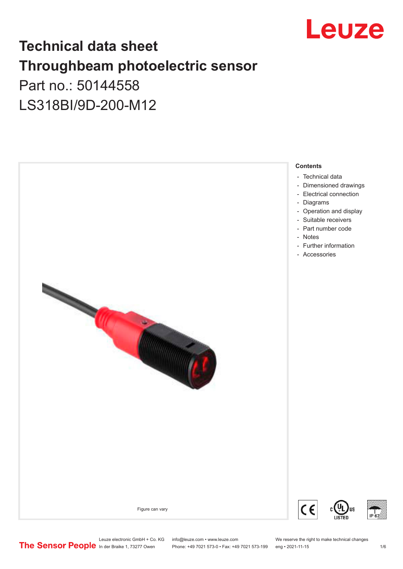

## **Technical data sheet Throughbeam photoelectric sensor**  Part no.: 50144558

LS318BI/9D-200-M12



Leuze electronic GmbH + Co. KG info@leuze.com • www.leuze.com We reserve the right to make technical changes<br>
The Sensor People in der Braike 1, 73277 Owen Phone: +49 7021 573-0 • Fax: +49 7021 573-199 eng • 2021-11-15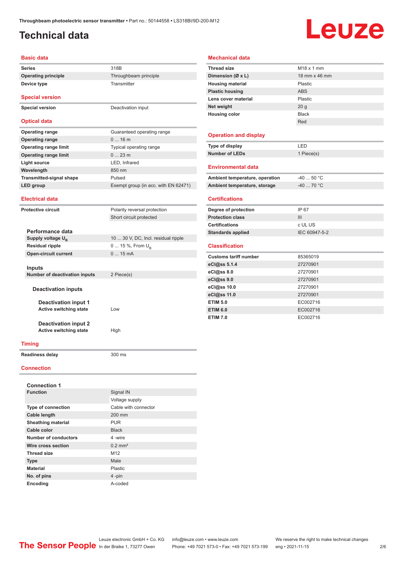### <span id="page-1-0"></span>**Technical data**

**Device type** Transmitter

## Leuze

#### **Basic data**

**Series** 318B **Operating principle** Throughbeam principle

**Special version**

**Special version** Deactivation input

### **Optical data**

| <b>Operating range</b>          | Guaranteed operating range           |
|---------------------------------|--------------------------------------|
| <b>Operating range</b>          | $016$ m                              |
| <b>Operating range limit</b>    | Typical operating range              |
| <b>Operating range limit</b>    | $023$ m                              |
| Light source                    | LED, Infrared                        |
| Wavelength                      | 850 nm                               |
| <b>Transmitted-signal shape</b> | Pulsed                               |
| LED group                       | Exempt group (in acc. with EN 62471) |

#### **Electrical data**

| <b>Protective circuit</b>                                                                                                    |                             | Polarity reversal protection        |
|------------------------------------------------------------------------------------------------------------------------------|-----------------------------|-------------------------------------|
|                                                                                                                              |                             | Short circuit protected             |
|                                                                                                                              |                             |                                     |
|                                                                                                                              | Performance data            |                                     |
|                                                                                                                              | Supply voltage $U_{B}$      | 10  30 V, DC, Incl. residual ripple |
|                                                                                                                              | <b>Residual ripple</b>      | 0  15 %, From $U_{\rm B}$           |
|                                                                                                                              | <b>Open-circuit current</b> | $015$ mA                            |
|                                                                                                                              |                             |                                     |
|                                                                                                                              | Inputs                      |                                     |
| <b>Number of deactivation inputs</b>                                                                                         |                             | 2 Piece(s)                          |
|                                                                                                                              |                             |                                     |
|                                                                                                                              | <b>Deactivation inputs</b>  |                                     |
|                                                                                                                              |                             |                                     |
| <b>Deactivation input 1</b><br><b>Active switching state</b><br><b>Deactivation input 2</b><br><b>Active switching state</b> |                             |                                     |
|                                                                                                                              |                             | Low                                 |
|                                                                                                                              |                             |                                     |
|                                                                                                                              |                             |                                     |
|                                                                                                                              |                             | High                                |
|                                                                                                                              |                             |                                     |

### **Timing**

**Readiness delay** 300 ms

#### **Connection**

| <b>Connection 1</b>       |                       |
|---------------------------|-----------------------|
| <b>Function</b>           | Signal IN             |
|                           | Voltage supply        |
| <b>Type of connection</b> | Cable with connector  |
| <b>Cable length</b>       | 200 mm                |
| <b>Sheathing material</b> | <b>PUR</b>            |
| Cable color               | <b>Black</b>          |
| Number of conductors      | 4-wire                |
| Wire cross section        | $0.2$ mm <sup>2</sup> |
| <b>Thread size</b>        | M12                   |
| <b>Type</b>               | Male                  |
| <b>Material</b>           | Plastic               |
| No. of pins               | 4-pin                 |
| Encoding                  | A-coded               |

### **Mechanical data**

| <b>Thread size</b>             | $M18 \times 1$ mm |
|--------------------------------|-------------------|
| Dimension (Ø x L)              | 18 mm x 46 mm     |
| <b>Housing material</b>        | Plastic           |
| <b>Plastic housing</b>         | <b>ABS</b>        |
| Lens cover material            | Plastic           |
| Net weight                     | 20 <sub>g</sub>   |
| <b>Housing color</b>           | <b>Black</b>      |
|                                | Red               |
|                                |                   |
| <b>Operation and display</b>   |                   |
| Type of display                | LED               |
| <b>Number of LEDs</b>          | 1 Piece(s)        |
|                                |                   |
| Environmental data             |                   |
| Ambient temperature, operation | $-40$ 50 °C       |
| Ambient temperature, storage   | $-40$ 70 °C       |
|                                |                   |
| <b>Certifications</b>          |                   |
| Degree of protection           | IP 67             |
| <b>Protection class</b>        | Ш                 |
| <b>Certifications</b>          | c UL US           |
| <b>Standards applied</b>       | IEC 60947-5-2     |
|                                |                   |
| <b>Classification</b>          |                   |
| <b>Customs tariff number</b>   | 85365019          |
| eCl@ss 5.1.4                   | 27270901          |
| eCl@ss 8.0                     | 27270901          |
| eCl@ss 9.0                     | 27270901          |
| eCl@ss 10.0                    | 27270901          |
| eCl@ss 11.0                    | 27270901          |
| <b>ETIM 5.0</b>                | EC002716          |
| <b>ETIM 6.0</b>                | EC002716          |
| <b>ETIM 7.0</b>                | EC002716          |
|                                |                   |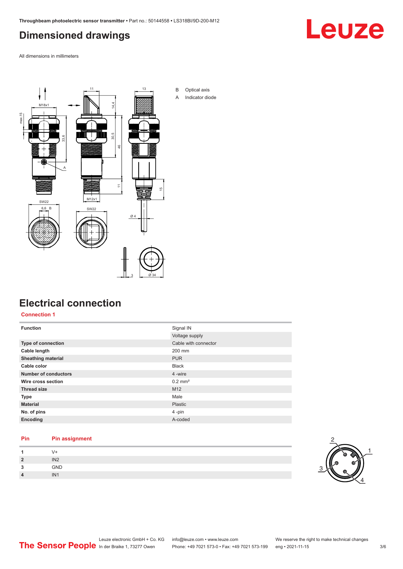## <span id="page-2-0"></span>**Dimensioned drawings**

Leuze

All dimensions in millimeters



### **Electrical connection**

**Connection 1**

| <b>Function</b>             | Signal IN             |
|-----------------------------|-----------------------|
|                             | Voltage supply        |
| Type of connection          | Cable with connector  |
| Cable length                | 200 mm                |
| <b>Sheathing material</b>   | <b>PUR</b>            |
| Cable color                 | <b>Black</b>          |
| <b>Number of conductors</b> | 4 -wire               |
| Wire cross section          | $0.2$ mm <sup>2</sup> |
| <b>Thread size</b>          | M <sub>12</sub>       |
| <b>Type</b>                 | Male                  |
| <b>Material</b>             | <b>Plastic</b>        |
| No. of pins                 | 4-pin                 |
| Encoding                    | A-coded               |

### **Pin Pin assignment 1** V+ **2** IN2 **3** GND **4** IN1

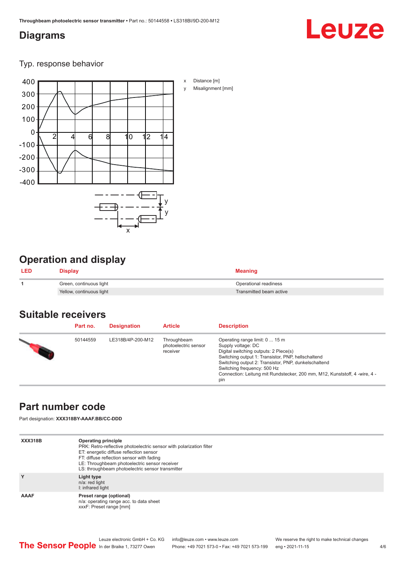### <span id="page-3-0"></span>**Diagrams**

# Leuze

Typ. response behavior



## **Operation and display**

| <b>LED</b> | Display                  | <b>Meaning</b>          |
|------------|--------------------------|-------------------------|
|            | Green, continuous light  | Operational readiness   |
|            | Yellow, continuous light | Transmitted beam active |

### **Suitable receivers**

| Part no. | <b>Designation</b> | <b>Article</b>                                  | <b>Description</b>                                                                                                                                                                                                                                                                                                              |
|----------|--------------------|-------------------------------------------------|---------------------------------------------------------------------------------------------------------------------------------------------------------------------------------------------------------------------------------------------------------------------------------------------------------------------------------|
| 50144559 | LE318B/4P-200-M12  | Throughbeam<br>photoelectric sensor<br>receiver | Operating range limit: 0  15 m<br>Supply voltage: DC<br>Digital switching outputs: 2 Piece(s)<br>Switching output 1: Transistor, PNP, hellschaltend<br>Switching output 2: Transistor, PNP, dunkelschaltend<br>Switching frequency: 500 Hz<br>Connection: Leitung mit Rundstecker, 200 mm, M12, Kunststoff, 4 -wire, 4 -<br>pin |

### **Part number code**

Part designation: **XXX318BY-AAAF.BB/CC-DDD**

| <b>XXX318B</b> | <b>Operating principle</b><br>PRK: Retro-reflective photoelectric sensor with polarization filter<br>ET: energetic diffuse reflection sensor<br>FT: diffuse reflection sensor with fading<br>LE: Throughbeam photoelectric sensor receiver<br>LS: throughbeam photoelectric sensor transmitter |
|----------------|------------------------------------------------------------------------------------------------------------------------------------------------------------------------------------------------------------------------------------------------------------------------------------------------|
| Y              | Light type<br>n/a: red light<br>I: infrared light                                                                                                                                                                                                                                              |
| <b>AAAF</b>    | Preset range (optional)<br>n/a: operating range acc. to data sheet<br>xxxF: Preset range [mm]                                                                                                                                                                                                  |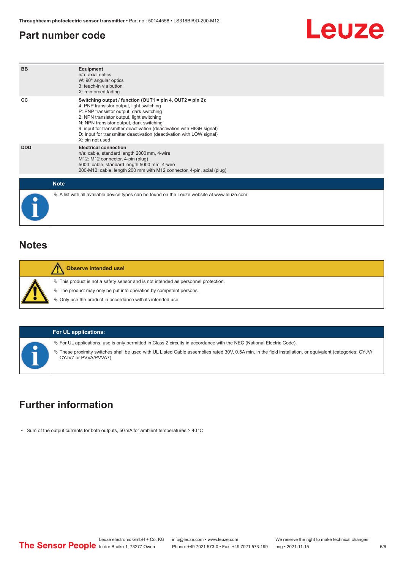### <span id="page-4-0"></span>**Part number code**



| <b>BB</b>   | <b>Equipment</b><br>n/a: axial optics<br>W: 90° angular optics<br>3: teach-in via button<br>X: reinforced fading                                                                                                                                                                                                                                                                                                      |
|-------------|-----------------------------------------------------------------------------------------------------------------------------------------------------------------------------------------------------------------------------------------------------------------------------------------------------------------------------------------------------------------------------------------------------------------------|
| CC          | Switching output / function (OUT1 = $pin 4$ , OUT2 = $pin 2$ ):<br>4: PNP transistor output, light switching<br>P: PNP transistor output, dark switching<br>2: NPN transistor output, light switching<br>N: NPN transistor output, dark switching<br>9: input for transmitter deactivation (deactivation with HIGH signal)<br>D: Input for transmitter deactivation (deactivation with LOW signal)<br>X: pin not used |
| <b>DDD</b>  | <b>Electrical connection</b><br>n/a: cable, standard length 2000 mm, 4-wire<br>M12: M12 connector, 4-pin (plug)<br>5000: cable, standard length 5000 mm, 4-wire<br>200-M12: cable, length 200 mm with M12 connector, 4-pin, axial (plug)                                                                                                                                                                              |
| <b>Note</b> |                                                                                                                                                                                                                                                                                                                                                                                                                       |
|             | $\&$ A list with all available device types can be found on the Leuze website at www.leuze.com.                                                                                                                                                                                                                                                                                                                       |

### **Notes**

| <b>Observe intended use!</b>                                                                                                                                                                                               |  |
|----------------------------------------------------------------------------------------------------------------------------------------------------------------------------------------------------------------------------|--|
| $\%$ This product is not a safety sensor and is not intended as personnel protection.<br>₹ The product may only be put into operation by competent persons.<br>§ Only use the product in accordance with its intended use. |  |

| <b>For UL applications:</b>                                                                                                                                                                                                                                                                                          |
|----------------------------------------------------------------------------------------------------------------------------------------------------------------------------------------------------------------------------------------------------------------------------------------------------------------------|
| Vertal Code). For UL applications, use is only permitted in Class 2 circuits in accordance with the NEC (National Electric Code).<br>These proximity switches shall be used with UL Listed Cable assemblies rated 30V, 0.5A min, in the field installation, or equivalent (categories: CYJV/<br>CYJV7 or PVVA/PVVA7) |

### **Further information**

• Sum of the output currents for both outputs, 50 mA for ambient temperatures > 40 °C